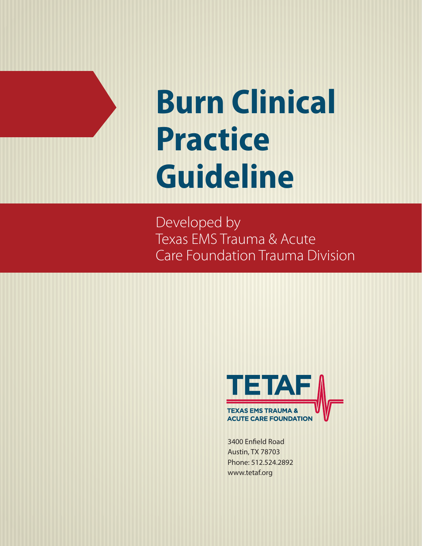# **Burn Clinical Practice Guideline**

Developed by Texas EMS Trauma & Acute Care Foundation Trauma Division



3400 Enfield Road Austin, TX 78703 Phone: 512.524.2892 www.tetaf.org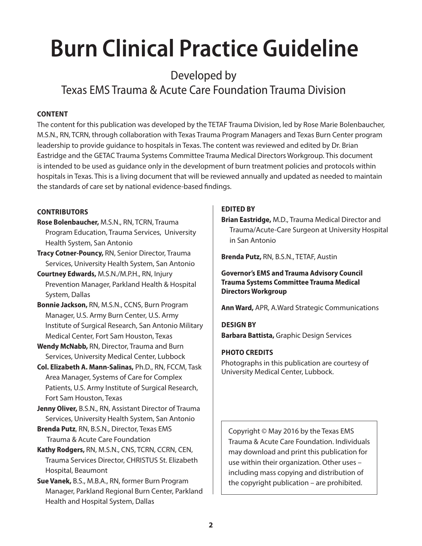# **Burn Clinical Practice Guideline**

## Developed by Texas EMS Trauma & Acute Care Foundation Trauma Division

#### **ContEnt**

The content for this publication was developed by the TETAF Trauma Division, led by Rose Marie Bolenbaucher, M.S.N., RN, TCRN, through collaboration with Texas Trauma Program Managers and Texas Burn Center program leadership to provide guidance to hospitals in Texas. The content was reviewed and edited by Dr. Brian Eastridge and the GETAC Trauma Systems Committee Trauma Medical Directors Workgroup. This document is intended to be used as guidance only in the development of burn treatment policies and protocols within hospitals in Texas. This is a living document that will be reviewed annually and updated as needed to maintain the standards of care set by national evidence-based findings.

#### **ContriButors**

- **rose Bolenbaucher,** M.S.N., RN, TCRN, Trauma Program Education, Trauma Services, University Health System, San Antonio
- **tracy Cotner-Pouncy,** RN, Senior Director, Trauma Services, University Health System, San Antonio
- **Courtney Edwards,** M.S.N./M.P.H., RN, Injury Prevention Manager, Parkland Health & Hospital System, Dallas
- **Bonnie Jackson,** RN, M.S.N., CCNS, Burn Program Manager, U.S. Army Burn Center, U.S. Army Institute of Surgical Research, San Antonio Military Medical Center, Fort Sam Houston, Texas
- **Wendy Mcnabb,** RN, Director, Trauma and Burn Services, University Medical Center, Lubbock
- **Col. Elizabeth A. Mann-salinas,** Ph.D., RN, FCCM, Task Area Manager, Systems of Care for Complex Patients, U.S. Army Institute of Surgical Research, Fort Sam Houston, Texas
- **Jenny oliver,** B.S.N., RN, Assistant Director of Trauma Services, University Health System, San Antonio
- **Brenda Putz**, RN, B.S.N., Director, Texas EMS Trauma & Acute Care Foundation
- **Kathy rodgers,** RN, M.S.N., CNS, TCRN, CCRN, CEN, Trauma Services Director, CHRISTUS St. Elizabeth Hospital, Beaumont

**sue Vanek,** B.S., M.B.A., RN, former Burn Program Manager, Parkland Regional Burn Center, Parkland Health and Hospital System, Dallas

#### **EDitED BY**

**Brian Eastridge,** M.D., Trauma Medical Director and Trauma/Acute-Care Surgeon at University Hospital in San Antonio

**Brenda Putz,** RN, B.S.N., TETAF, Austin

#### **Governor's EMs and trauma Advisory Council Trauma Systems Committee Trauma Medical Directors Workgroup**

**Ann Ward,** APR, A.Ward Strategic Communications

**DEsiGn BY Barbara Battista,** Graphic Design Services

#### **PHoto CrEDits**

Photographs in this publication are courtesy of University Medical Center, Lubbock.

Copyright © May 2016 by the Texas EMS Trauma & Acute Care Foundation. Individuals may download and print this publication for use within their organization. Other uses – including mass copying and distribution of the copyright publication – are prohibited.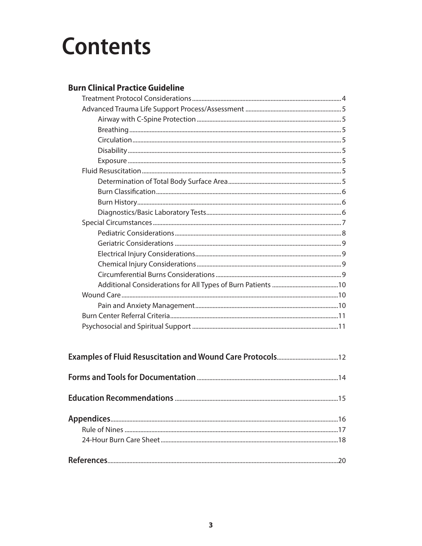# **Contents**

### **Burn Clinical Practice Guideline**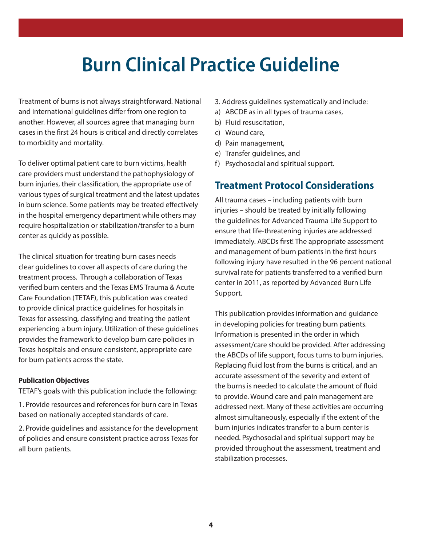## **Burn Clinical Practice Guideline**

Treatment of burns is not always straightforward. National and international guidelines differ from one region to another. However, all sources agree that managing burn cases in the first 24 hours is critical and directly correlates to morbidity and mortality.

To deliver optimal patient care to burn victims, health care providers must understand the pathophysiology of burn injuries, their classification, the appropriate use of various types of surgical treatment and the latest updates in burn science. Some patients may be treated effectively in the hospital emergency department while others may require hospitalization or stabilization/transfer to a burn center as quickly as possible.

The clinical situation for treating burn cases needs clear guidelines to cover all aspects of care during the treatment process. Through a collaboration of Texas verified burn centers and the Texas EMS Trauma & Acute Care Foundation (TETAF), this publication was created to provide clinical practice guidelines for hospitals in Texas for assessing, classifying and treating the patient experiencing a burn injury. Utilization of these guidelines provides the framework to develop burn care policies in Texas hospitals and ensure consistent, appropriate care for burn patients across the state.

#### **Publication objectives**

TETAF's goals with this publication include the following:

1. Provide resources and references for burn care in Texas based on nationally accepted standards of care.

2. Provide guidelines and assistance for the development of policies and ensure consistent practice across Texas for all burn patients.

3. Address guidelines systematically and include:

- a) ABCDE as in all types of trauma cases,
- b) Fluid resuscitation,
- c) Wound care,
- d) Pain management,
- e) Transfer guidelines, and
- f) Psychosocial and spiritual support.

### **treatment Protocol Considerations**

All trauma cases – including patients with burn injuries – should be treated by initially following the guidelines for Advanced Trauma Life Support to ensure that life-threatening injuries are addressed immediately. ABCDs first! The appropriate assessment and management of burn patients in the first hours following injury have resulted in the 96 percent national survival rate for patients transferred to a verified burn center in 2011, as reported by Advanced Burn Life Support.

This publication provides information and guidance in developing policies for treating burn patients. Information is presented in the order in which assessment/care should be provided. After addressing the ABCDs of life support, focus turns to burn injuries. Replacing fluid lost from the burns is critical, and an accurate assessment of the severity and extent of the burns is needed to calculate the amount of fluid to provide. Wound care and pain management are addressed next. Many of these activities are occurring almost simultaneously, especially if the extent of the burn injuries indicates transfer to a burn center is needed. Psychosocial and spiritual support may be provided throughout the assessment, treatment and stabilization processes.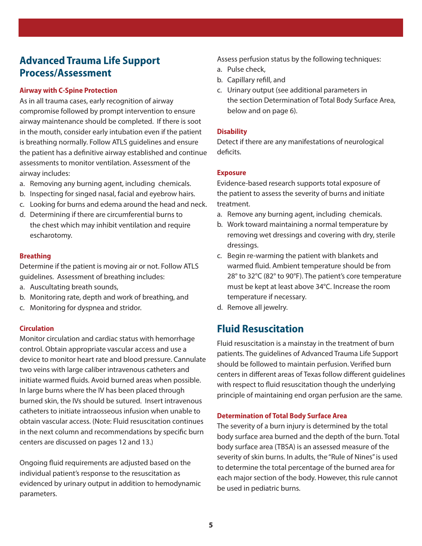## **Advanced trauma Life support Process/Assessment**

#### **Airway with C-spine Protection**

As in all trauma cases, early recognition of airway compromise followed by prompt intervention to ensure airway maintenance should be completed. If there is soot in the mouth, consider early intubation even if the patient is breathing normally. Follow ATLS guidelines and ensure the patient has a definitive airway established and continue assessments to monitor ventilation. Assessment of the airway includes:

- a. Removing any burning agent, including chemicals.
- b. Inspecting for singed nasal, facial and eyebrow hairs.
- c. Looking for burns and edema around the head and neck.
- d. Determining if there are circumferential burns to the chest which may inhibit ventilation and require escharotomy.

#### **Breathing**

Determine if the patient is moving air or not. Follow ATLS guidelines. Assessment of breathing includes:

- a. Auscultating breath sounds,
- b. Monitoring rate, depth and work of breathing, and
- c. Monitoring for dyspnea and stridor.

#### **Circulation**

Monitor circulation and cardiac status with hemorrhage control. Obtain appropriate vascular access and use a device to monitor heart rate and blood pressure. Cannulate two veins with large caliber intravenous catheters and initiate warmed fluids. Avoid burned areas when possible. In large burns where the IV has been placed through burned skin, the IVs should be sutured. Insert intravenous catheters to initiate intraosseous infusion when unable to obtain vascular access. (Note: Fluid resuscitation continues in the next column and recommendations by specific burn centers are discussed on pages 12 and 13.)

Ongoing fluid requirements are adjusted based on the individual patient's response to the resuscitation as evidenced by urinary output in addition to hemodynamic parameters.

Assess perfusion status by the following techniques:

- a. Pulse check,
- b. Capillary refill, and
- c. Urinary output (see additional parameters in the section Determination of Total Body Surface Area, below and on page 6).

#### **Disability**

Detect if there are any manifestations of neurological deficits.

#### **Exposure**

Evidence-based research supports total exposure of the patient to assess the severity of burns and initiate treatment.

- a. Remove any burning agent, including chemicals.
- b. Work toward maintaining a normal temperature by removing wet dressings and covering with dry, sterile dressings.
- c. Begin re-warming the patient with blankets and warmed fluid. Ambient temperature should be from 28° to 32°C (82° to 90°F). The patient's core temperature must be kept at least above 34°C. Increase the room temperature if necessary.
- d. Remove all jewelry.

## **Fluid Resuscitation**

Fluid resuscitation is a mainstay in the treatment of burn patients. The guidelines of Advanced Trauma Life Support should be followed to maintain perfusion. Verified burn centers in different areas of Texas follow different guidelines with respect to fluid resuscitation though the underlying principle of maintaining end organ perfusion are the same.

#### **Determination of total Body surface Area**

The severity of a burn injury is determined by the total body surface area burned and the depth of the burn. Total body surface area (TBSA) is an assessed measure of the severity of skin burns. In adults, the "Rule of Nines" is used to determine the total percentage of the burned area for each major section of the body. However, this rule cannot be used in pediatric burns.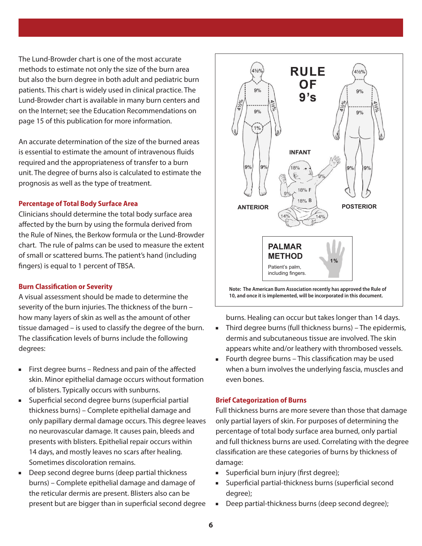The Lund-Browder chart is one of the most accurate methods to estimate not only the size of the burn area but also the burn degree in both adult and pediatric burn patients. This chart is widely used in clinical practice. The Lund-Browder chart is available in many burn centers and on the Internet; see the Education Recommendations on page 15 of this publication for more information.

An accurate determination of the size of the burned areas is essential to estimate the amount of intravenous fluids required and the appropriateness of transfer to a burn unit. The degree of burns also is calculated to estimate the prognosis as well as the type of treatment.

#### **Percentage of total Body surface Area**

Clinicians should determine the total body surface area affected by the burn by using the formula derived from the Rule of Nines, the Berkow formula or the Lund-Browder chart. The rule of palms can be used to measure the extent of small or scattered burns. The patient's hand (including fingers) is equal to 1 percent of TBSA.

#### **Burn Classification or severity**

A visual assessment should be made to determine the severity of the burn injuries. The thickness of the burn – how many layers of skin as well as the amount of other tissue damaged – is used to classify the degree of the burn. The classification levels of burns include the following degrees:

- First degree burns Redness and pain of the affected skin. Minor epithelial damage occurs without formation of blisters. Typically occurs with sunburns.
- **EXEC** Superficial second degree burns (superficial partial thickness burns) – Complete epithelial damage and only papillary dermal damage occurs. This degree leaves no neurovascular damage. It causes pain, bleeds and presents with blisters. Epithelial repair occurs within 14 days, and mostly leaves no scars after healing. Sometimes discoloration remains.
- Deep second degree burns (deep partial thickness burns) – Complete epithelial damage and damage of the reticular dermis are present. Blisters also can be present but are bigger than in superficial second degree



burns. Healing can occur but takes longer than 14 days.

- $\blacksquare$  Third degree burns (full thickness burns) The epidermis, dermis and subcutaneous tissue are involved. The skin appears white and/or leathery with thrombosed vessels.
- Fourth degree burns This classification may be used when a burn involves the underlying fascia, muscles and even bones.

#### **Brief Categorization of Burns**

Full thickness burns are more severe than those that damage only partial layers of skin. For purposes of determining the percentage of total body surface area burned, only partial and full thickness burns are used. Correlating with the degree classification are these categories of burns by thickness of damage:

- **s** Superficial burn injury (first degree);
- Superficial partial-thickness burns (superficial second degree);
- Deep partial-thickness burns (deep second degree);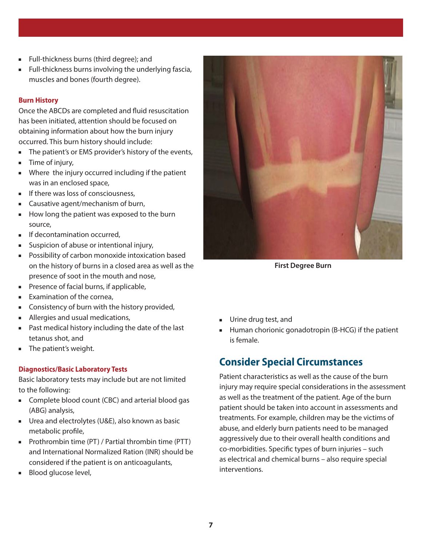- **Full-thickness burns (third degree); and**
- $\blacksquare$  Full-thickness burns involving the underlying fascia, muscles and bones (fourth degree).

#### **Burn History**

Once the ABCDs are completed and fluid resuscitation has been initiated, attention should be focused on obtaining information about how the burn injury occurred. This burn history should include:

- **n** The patient's or EMS provider's history of the events,
- $\blacksquare$  Time of injury,
- **NHERE** 10 Injury occurred including if the patient was in an enclosed space,
- $\blacksquare$  If there was loss of consciousness,
- $\blacksquare$  Causative agent/mechanism of burn,
- $\blacksquare$  How long the patient was exposed to the burn source,
- $\blacksquare$  If decontamination occurred,
- suspicion of abuse or intentional injury,
- **Possibility of carbon monoxide intoxication based** on the history of burns in a closed area as well as the presence of soot in the mouth and nose,
- $\blacksquare$  Presence of facial burns, if applicable,
- $\blacksquare$  Examination of the cornea,
- **EX Consistency of burn with the history provided,**
- **Allergies and usual medications,**
- $\blacksquare$  Past medical history including the date of the last tetanus shot, and
- **n** The patient's weight.

#### **Diagnostics/Basic Laboratory tests**

Basic laboratory tests may include but are not limited to the following:

- **EXECOMPLER** complete blood count (CBC) and arterial blood gas (ABG) analysis,
- Urea and electrolytes (U&E), also known as basic metabolic profile,
- Prothrombin time  $(PT)$  / Partial thrombin time  $(PTT)$ and International Normalized Ration (INR) should be considered if the patient is on anticoagulants,
- **Blood glucose level,**



**First Degree Burn**

- **u** Urine drug test, and
- $\blacksquare$  Human chorionic gonadotropin (B-HCG) if the patient is female.

## **Consider special Circumstances**

Patient characteristics as well as the cause of the burn injury may require special considerations in the assessment as well as the treatment of the patient. Age of the burn patient should be taken into account in assessments and treatments. For example, children may be the victims of abuse, and elderly burn patients need to be managed aggressively due to their overall health conditions and co-morbidities. Specific types of burn injuries – such as electrical and chemical burns – also require special interventions.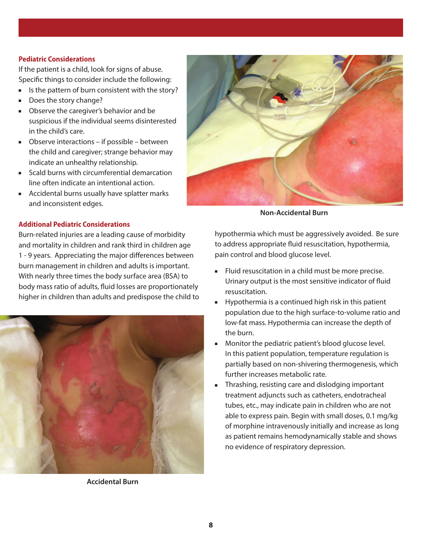#### **Pediatric Considerations**

If the patient is a child, look for signs of abuse. Specific things to consider include the following:

- If Is the pattern of burn consistent with the story?
- Does the story change?
- **Observe the caregiver's behavior and be** suspicious if the individual seems disinterested in the child's care.
- $\blacksquare$  Observe interactions if possible between the child and caregiver; strange behavior may indicate an unhealthy relationship.
- $S$ cald burns with circumferential demarcation line often indicate an intentional action.
- Accidental burns usually have splatter marks and inconsistent edges.

#### **Additional Pediatric Considerations**

Burn-related injuries are a leading cause of morbidity and mortality in children and rank third in children age 1 - 9 years. Appreciating the major differences between burn management in children and adults is important. With nearly three times the body surface area (BSA) to body mass ratio of adults, fluid losses are proportionately higher in children than adults and predispose the child to



**Accidental Burn**



**Non-Accidental Burn**

hypothermia which must be aggressively avoided. Be sure to address appropriate fluid resuscitation, hypothermia, pain control and blood glucose level.

- Fluid resuscitation in a child must be more precise. Urinary output is the most sensitive indicator of fluid resuscitation.
- $\blacksquare$  Hypothermia is a continued high risk in this patient population due to the high surface-to-volume ratio and low-fat mass. Hypothermia can increase the depth of the burn.
- **Nonitor the pediatric patient's blood glucose level.** In this patient population, temperature regulation is partially based on non-shivering thermogenesis, which further increases metabolic rate.
- **FREE** Thrashing, resisting care and dislodging important treatment adjuncts such as catheters, endotracheal tubes, etc., may indicate pain in children who are not able to express pain. Begin with small doses, 0.1 mg/kg of morphine intravenously initially and increase as long as patient remains hemodynamically stable and shows no evidence of respiratory depression.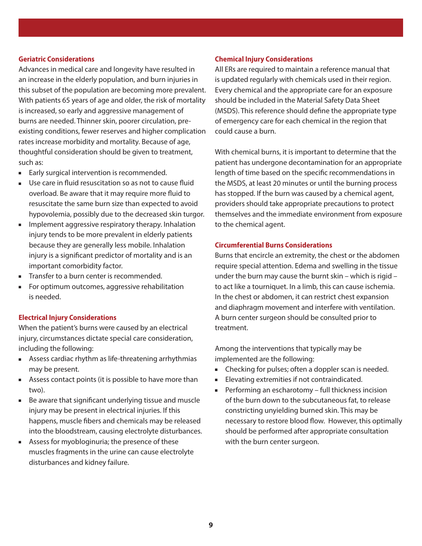#### **Geriatric Considerations**

Advances in medical care and longevity have resulted in an increase in the elderly population, and burn injuries in this subset of the population are becoming more prevalent. With patients 65 years of age and older, the risk of mortality is increased, so early and aggressive management of burns are needed. Thinner skin, poorer circulation, preexisting conditions, fewer reserves and higher complication rates increase morbidity and mortality. Because of age, thoughtful consideration should be given to treatment, such as:

- Early surgical intervention is recommended.
- Use care in fluid resuscitation so as not to cause fluid overload. Be aware that it may require more fluid to resuscitate the same burn size than expected to avoid hypovolemia, possibly due to the decreased skin turgor.
- $\blacksquare$  Implement aggressive respiratory therapy. Inhalation injury tends to be more prevalent in elderly patients because they are generally less mobile. Inhalation injury is a significant predictor of mortality and is an important comorbidity factor.
- $\blacksquare$  Transfer to a burn center is recommended.
- **For optimum outcomes, aggressive rehabilitation** is needed.

#### **Electrical injury Considerations**

When the patient's burns were caused by an electrical injury, circumstances dictate special care consideration, including the following:

- **EXE** Assess cardiac rhythm as life-threatening arrhythmias may be present.
- **EXEC** Assess contact points (it is possible to have more than two).
- Be aware that significant underlying tissue and muscle injury may be present in electrical injuries. If this happens, muscle fibers and chemicals may be released into the bloodstream, causing electrolyte disturbances.
- **EXEC** Assess for myobloginuria; the presence of these muscles fragments in the urine can cause electrolyte disturbances and kidney failure.

#### **Chemical injury Considerations**

All ERs are required to maintain a reference manual that is updated regularly with chemicals used in their region. Every chemical and the appropriate care for an exposure should be included in the Material Safety Data Sheet (MSDS). This reference should define the appropriate type of emergency care for each chemical in the region that could cause a burn.

With chemical burns, it is important to determine that the patient has undergone decontamination for an appropriate length of time based on the specific recommendations in the MSDS, at least 20 minutes or until the burning process has stopped. If the burn was caused by a chemical agent, providers should take appropriate precautions to protect themselves and the immediate environment from exposure to the chemical agent.

#### **Circumferential Burns Considerations**

Burns that encircle an extremity, the chest or the abdomen require special attention. Edema and swelling in the tissue under the burn may cause the burnt skin – which is rigid – to act like a tourniquet. In a limb, this can cause ischemia. In the chest or abdomen, it can restrict chest expansion and diaphragm movement and interfere with ventilation. A burn center surgeon should be consulted prior to treatment.

Among the interventions that typically may be implemented are the following:

- Checking for pulses; often a doppler scan is needed.
- **Elevating extremities if not contraindicated.**
- $\blacksquare$  Performing an escharotomy full thickness incision of the burn down to the subcutaneous fat, to release constricting unyielding burned skin. This may be necessary to restore blood flow. However, this optimally should be performed after appropriate consultation with the burn center surgeon.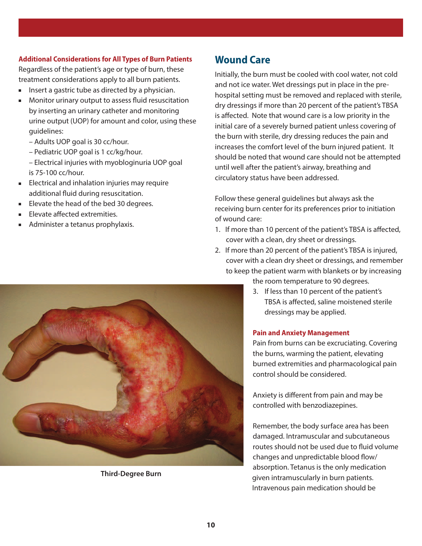#### **Additional Considerations for All Types of Burn Patients**

Regardless of the patient's age or type of burn, these treatment considerations apply to all burn patients.

- nington insert a gastric tube as directed by a physician.
- **n** Monitor urinary output to assess fluid resuscitation by inserting an urinary catheter and monitoring urine output (UOP) for amount and color, using these guidelines:
	- Adults UOP goal is 30 cc/hour.
	- Pediatric UOP goal is 1 cc/kg/hour.

 – Electrical injuries with myobloginuria UOP goal is 75-100 cc/hour.

- **Electrical and inhalation injuries may require** additional fluid during resuscitation.
- Elevate the head of the bed 30 degrees.
- **Elevate affected extremities.**
- Administer a tetanus prophylaxis.

## **Wound Care**

Initially, the burn must be cooled with cool water, not cold and not ice water. Wet dressings put in place in the prehospital setting must be removed and replaced with sterile, dry dressings if more than 20 percent of the patient's TBSA is affected. Note that wound care is a low priority in the initial care of a severely burned patient unless covering of the burn with sterile, dry dressing reduces the pain and increases the comfort level of the burn injured patient. It should be noted that wound care should not be attempted until well after the patient's airway, breathing and circulatory status have been addressed.

Follow these general guidelines but always ask the receiving burn center for its preferences prior to initiation of wound care:

- 1. If more than 10 percent of the patient's TBSA is affected, cover with a clean, dry sheet or dressings.
- 2. If more than 20 percent of the patient's TBSA is injured, cover with a clean dry sheet or dressings, and remember to keep the patient warm with blankets or by increasing
	- the room temperature to 90 degrees.
		- 3. If less than 10 percent of the patient's TBSA is affected, saline moistened sterile dressings may be applied.

#### **Pain and Anxiety Management**

Pain from burns can be excruciating. Covering the burns, warming the patient, elevating burned extremities and pharmacological pain control should be considered.

Anxiety is different from pain and may be controlled with benzodiazepines.

Remember, the body surface area has been damaged. Intramuscular and subcutaneous routes should not be used due to fluid volume changes and unpredictable blood flow/ absorption. Tetanus is the only medication given intramuscularly in burn patients. Intravenous pain medication should be



**Third-Degree Burn**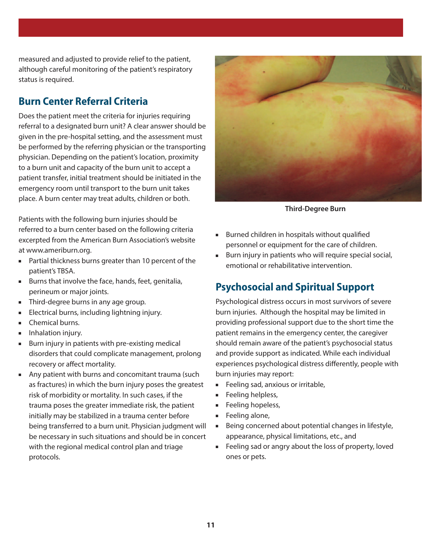measured and adjusted to provide relief to the patient, although careful monitoring of the patient's respiratory status is required.

## **Burn Center Referral Criteria**

Does the patient meet the criteria for injuries requiring referral to a designated burn unit? A clear answer should be given in the pre-hospital setting, and the assessment must be performed by the referring physician or the transporting physician. Depending on the patient's location, proximity to a burn unit and capacity of the burn unit to accept a patient transfer, initial treatment should be initiated in the emergency room until transport to the burn unit takes place. A burn center may treat adults, children or both.

Patients with the following burn injuries should be referred to a burn center based on the following criteria excerpted from the American Burn Association's website at www.ameriburn.org.

- n Partial thickness burns greater than 10 percent of the patient's TBSA.
- $B$ urns that involve the face, hands, feet, genitalia, perineum or major joints.
- **n**Third-degree burns in any age group.
- $\blacksquare$  Electrical burns, including lightning injury.
- $\blacksquare$  Chemical burns.
- **ninialation injury.**
- $\blacksquare$  Burn injury in patients with pre-existing medical disorders that could complicate management, prolong recovery or affect mortality.
- Any patient with burns and concomitant trauma (such as fractures) in which the burn injury poses the greatest risk of morbidity or mortality. In such cases, if the trauma poses the greater immediate risk, the patient initially may be stabilized in a trauma center before being transferred to a burn unit. Physician judgment will be necessary in such situations and should be in concert with the regional medical control plan and triage protocols.



**Third-Degree Burn**

- $B$  Burned children in hospitals without qualified personnel or equipment for the care of children.
- $\blacksquare$  Burn injury in patients who will require special social, emotional or rehabilitative intervention.

## **Psychosocial and spiritual support**

Psychological distress occurs in most survivors of severe burn injuries. Although the hospital may be limited in providing professional support due to the short time the patient remains in the emergency center, the caregiver should remain aware of the patient's psychosocial status and provide support as indicated. While each individual experiences psychological distress differently, people with burn injuries may report:

- $\blacksquare$  Feeling sad, anxious or irritable,
- **Feeling helpless,**
- **Feeling hopeless,**
- $\blacksquare$  Feeling alone,
- $\blacksquare$  Being concerned about potential changes in lifestyle, appearance, physical limitations, etc., and
- Feeling sad or angry about the loss of property, loved ones or pets.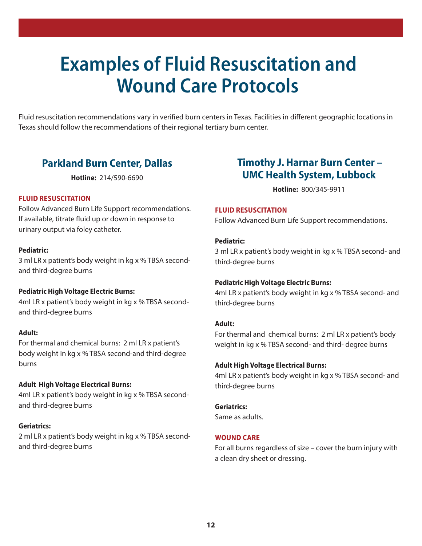## **Examples of Fluid Resuscitation and Wound Care Protocols**

Fluid resuscitation recommendations vary in verified burn centers in Texas. Facilities in different geographic locations in Texas should follow the recommendations of their regional tertiary burn center.

## **Parkland Burn Center, Dallas**

**Hotline:** 214/590-6690

#### **FLuiD rEsusCitAtion**

Follow Advanced Burn Life Support recommendations. If available, titrate fluid up or down in response to urinary output via foley catheter.

#### **Pediatric:**

3 ml LR x patient's body weight in kg x % TBSA secondand third-degree burns

#### **Pediatric High Voltage Electric Burns:**

4ml LR x patient's body weight in kg x % TBSA secondand third-degree burns

#### **Adult:**

For thermal and chemical burns: 2 ml LR x patient's body weight in kg x % TBSA second-and third-degree burns

#### **Adult High Voltage Electrical Burns:**

4ml LR x patient's body weight in kg x % TBSA secondand third-degree burns

#### **Geriatrics:**

2 ml LR x patient's body weight in kg x % TBSA secondand third-degree burns

## **timothy J. Harnar Burn Center – uMC Health system, Lubbock**

**Hotline:** 800/345-9911

#### **FLuiD rEsusCitAtion**

Follow Advanced Burn Life Support recommendations.

#### **Pediatric:**

3 ml LR x patient's body weight in kg x % TBSA second- and third-degree burns

#### **Pediatric High Voltage Electric Burns:**

4ml LR x patient's body weight in kg x % TBSA second- and third-degree burns

#### **Adult:**

For thermal and chemical burns: 2 ml LR x patient's body weight in kg x % TBSA second- and third- degree burns

#### **Adult High Voltage Electrical Burns:**

4ml LR x patient's body weight in kg x % TBSA second- and third-degree burns

#### **Geriatrics:**

Same as adults.

#### **WOUND CARE**

For all burns regardless of size – cover the burn injury with a clean dry sheet or dressing.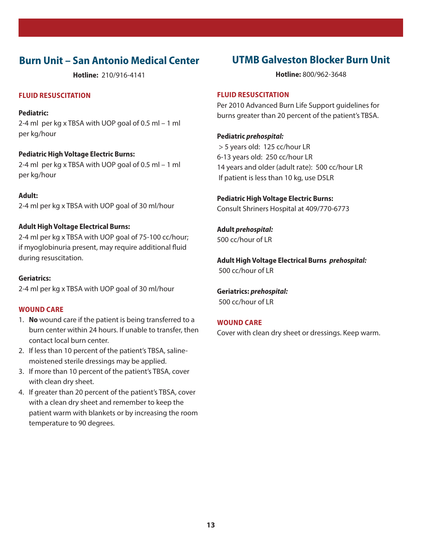## **Burn unit – san Antonio Medical Center**

**Hotline:** 210/916-4141

#### **FLuiD rEsusCitAtion**

#### **Pediatric:**

2-4 ml per kg x TBSA with UOP goal of 0.5 ml – 1 ml per kg/hour

#### **Pediatric High Voltage Electric Burns:**

2-4 ml per kg x TBSA with UOP goal of 0.5 ml – 1 ml per kg/hour

#### **Adult:**

2-4 ml per kg x TBSA with UOP goal of 30 ml/hour

#### **Adult High Voltage Electrical Burns:**

2-4 ml per kg x TBSA with UOP goal of 75-100 cc/hour; if myoglobinuria present, may require additional fluid during resuscitation.

#### **Geriatrics:**

2-4 ml per kg x TBSA with UOP goal of 30 ml/hour

#### **WOUND CARE**

- 1. **no** wound care if the patient is being transferred to a burn center within 24 hours. If unable to transfer, then contact local burn center.
- 2. If less than 10 percent of the patient's TBSA, salinemoistened sterile dressings may be applied.
- 3. If more than 10 percent of the patient's TBSA, cover with clean dry sheet.
- 4. If greater than 20 percent of the patient's TBSA, cover with a clean dry sheet and remember to keep the patient warm with blankets or by increasing the room temperature to 90 degrees.

## **UTMB Galveston Blocker Burn Unit**

**Hotline:** 800/962-3648

#### **FLuiD rEsusCitAtion**

Per 2010 Advanced Burn Life Support guidelines for burns greater than 20 percent of the patient's TBSA.

#### **Pediatric prehospital:**

 > 5 years old: 125 cc/hour LR 6-13 years old: 250 cc/hour LR 14 years and older (adult rate): 500 cc/hour LR If patient is less than 10 kg, use D5LR

**Pediatric High Voltage Electric Burns:**  Consult Shriners Hospital at 409/770-6773

**Adult prehospital:** 500 cc/hour of LR

**Adult High Voltage Electrical Burns prehospital:** 500 cc/hour of LR

**Geriatrics: prehospital:** 500 cc/hour of LR

#### **WOUND CARE**

Cover with clean dry sheet or dressings. Keep warm.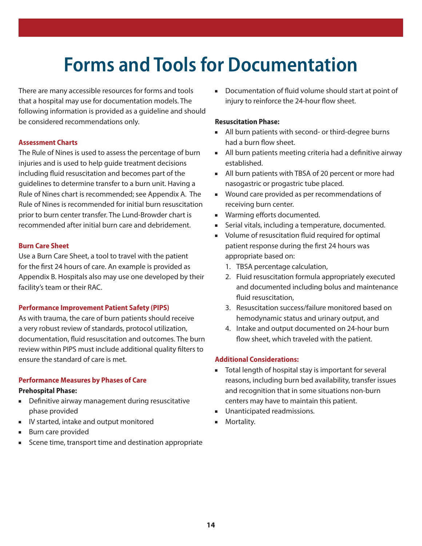# **Forms and Tools for Documentation**

There are many accessible resources for forms and tools that a hospital may use for documentation models. The following information is provided as a guideline and should be considered recommendations only.

#### **Assessment Charts**

The Rule of Nines is used to assess the percentage of burn injuries and is used to help guide treatment decisions including fluid resuscitation and becomes part of the guidelines to determine transfer to a burn unit. Having a Rule of Nines chart is recommended; see Appendix A. The Rule of Nines is recommended for initial burn resuscitation prior to burn center transfer. The Lund-Browder chart is recommended after initial burn care and debridement.

#### **Burn Care sheet**

Use a Burn Care Sheet, a tool to travel with the patient for the first 24 hours of care. An example is provided as Appendix B. Hospitals also may use one developed by their facility's team or their RAC.

#### **Performance improvement Patient safety (PiPs)**

As with trauma, the care of burn patients should receive a very robust review of standards, protocol utilization, documentation, fluid resuscitation and outcomes. The burn review within PIPS must include additional quality filters to ensure the standard of care is met.

#### **Performance Measures by Phases of Care**

#### **Prehospital Phase:**

- **•** Definitive airway management during resuscitative phase provided
- IV started, intake and output monitored
- **Burn care provided**
- Scene time, transport time and destination appropriate

■ Documentation of fluid volume should start at point of injury to reinforce the 24-hour flow sheet.

#### **resuscitation Phase:**

- All burn patients with second- or third-degree burns had a burn flow sheet.
- $\blacksquare$  All burn patients meeting criteria had a definitive airway established.
- All burn patients with TBSA of 20 percent or more had nasogastric or progastric tube placed.
- Wound care provided as per recommendations of receiving burn center.
- **NARCO EXECUTE:** Warming efforts documented.
- Serial vitals, including a temperature, documented.
- volume of resuscitation fluid required for optimal patient response during the first 24 hours was appropriate based on:
	- 1. TBSA percentage calculation,
	- 2. Fluid resuscitation formula appropriately executed and documented including bolus and maintenance fluid resuscitation,
	- 3. Resuscitation success/failure monitored based on hemodynamic status and urinary output, and
	- 4. Intake and output documented on 24-hour burn flow sheet, which traveled with the patient.

#### **Additional Considerations:**

- Total length of hospital stay is important for several reasons, including burn bed availability, transfer issues and recognition that in some situations non-burn centers may have to maintain this patient.
- **Unanticipated readmissions.**
- **n**Mortality.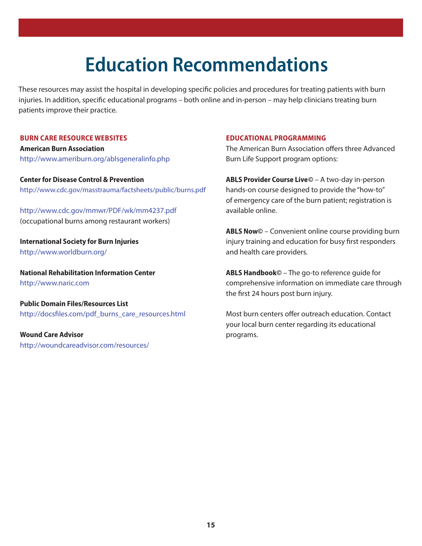# **Education Recommendations**

These resources may assist the hospital in developing specific policies and procedures for treating patients with burn injuries. In addition, specific educational programs – both online and in-person – may help clinicians treating burn patients improve their practice.

#### **Burn CArE rEsourCE WEBsitEs**

**American Burn Association** http://www.ameriburn.org/ablsgeneralinfo.php

**Center for Disease Control & Prevention** http://www.cdc.gov/masstrauma/factsheets/public/burns.pdf

http://www.cdc.gov/mmwr/PDF/wk/mm4237.pdf (occupational burns among restaurant workers)

**international society for Burn injuries** http://www.worldburn.org/

**National Rehabilitation Information Center** http://www.naric.com

**Public Domain Files/Resources List** http://docsfiles.com/pdf\_burns\_care\_resources.html

**Wound Care Advisor** http://woundcareadvisor.com/resources/

#### **EDuCAtionAL ProGrAMMinG**

The American Burn Association offers three Advanced Burn Life Support program options:

**ABLs Provider Course Live©** – A two-day in-person hands-on course designed to provide the "how-to" of emergency care of the burn patient; registration is available online.

**ABLs now©** – Convenient online course providing burn injury training and education for busy first responders and health care providers.

**ABLs Handbook©** – The go-to reference guide for comprehensive information on immediate care through the first 24 hours post burn injury.

Most burn centers offer outreach education. Contact your local burn center regarding its educational programs.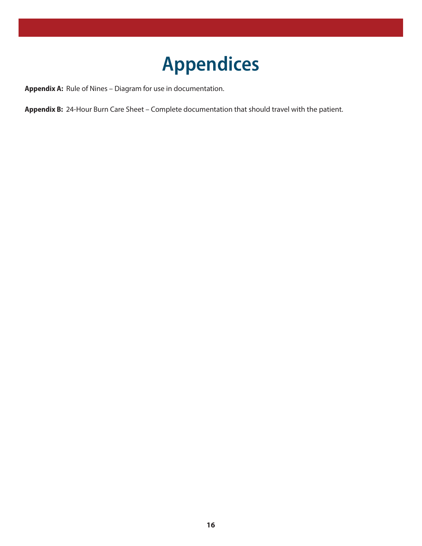# **Appendices**

**Appendix A:** Rule of Nines – Diagram for use in documentation.

**Appendix B:** 24-Hour Burn Care Sheet – Complete documentation that should travel with the patient.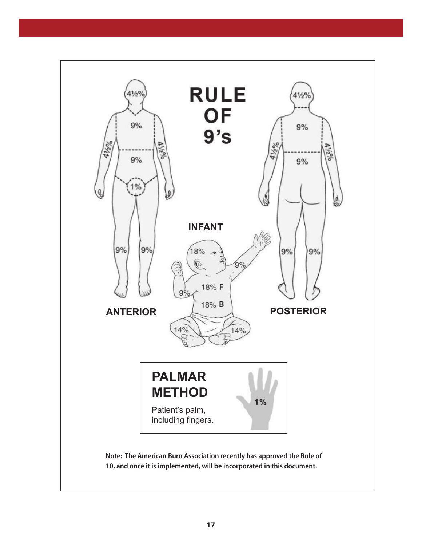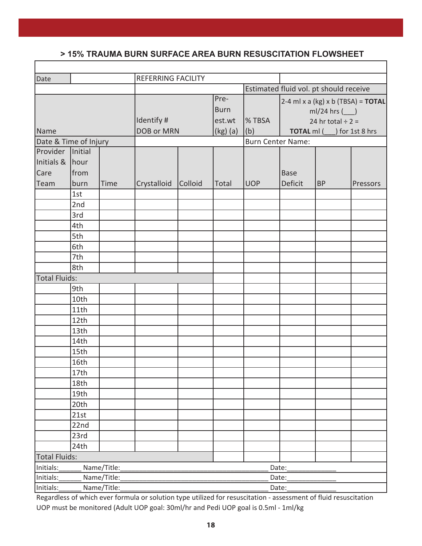### **> 15% TBSA BURN RESUSCITATION FLOWSHEET > 15% trauma Burn surface area Burn resuscitation flowsheet**

| Date                                      |                      |      | <b>REFERRING FACILITY</b>       |         |                               |                          |                                                                                                          |           |          |
|-------------------------------------------|----------------------|------|---------------------------------|---------|-------------------------------|--------------------------|----------------------------------------------------------------------------------------------------------|-----------|----------|
|                                           |                      |      |                                 |         |                               |                          | Estimated fluid vol. pt should receive                                                                   |           |          |
|                                           |                      |      | Identify #                      |         | Pre-<br><b>Burn</b><br>est.wt | <b>% TBSA</b>            | 2-4 ml x a (kg) x b (TBSA) = TOTAL<br>$ml/24$ hrs $(\underline{\hspace{1cm}})$<br>24 hr total $\div$ 2 = |           |          |
| Name                                      |                      |      | <b>DOB or MRN</b><br>$(kg)$ (a) |         |                               | (b)                      | TOTAL ml (___) for 1st 8 hrs                                                                             |           |          |
| Date & Time of Injury<br>Provider Initial |                      |      |                                 |         |                               | <b>Burn Center Name:</b> |                                                                                                          |           |          |
|                                           |                      |      |                                 |         |                               |                          |                                                                                                          |           |          |
| Initials &                                | hour                 |      |                                 |         |                               |                          |                                                                                                          |           |          |
| Care                                      | from                 |      |                                 |         |                               |                          | <b>Base</b>                                                                                              |           |          |
| Team                                      | burn<br>1st          | Time | Crystalloid                     | Colloid | Total                         | <b>UOP</b>               | Deficit                                                                                                  | <b>BP</b> | Pressors |
|                                           | 2nd                  |      |                                 |         |                               |                          |                                                                                                          |           |          |
|                                           | 3rd                  |      |                                 |         |                               |                          |                                                                                                          |           |          |
|                                           | 4th                  |      |                                 |         |                               |                          |                                                                                                          |           |          |
|                                           | 5th                  |      |                                 |         |                               |                          |                                                                                                          |           |          |
|                                           | 6th                  |      |                                 |         |                               |                          |                                                                                                          |           |          |
|                                           | 7th                  |      |                                 |         |                               |                          |                                                                                                          |           |          |
|                                           | 8th                  |      |                                 |         |                               |                          |                                                                                                          |           |          |
| <b>Total Fluids:</b>                      |                      |      |                                 |         |                               |                          |                                                                                                          |           |          |
|                                           | 9th                  |      |                                 |         |                               |                          |                                                                                                          |           |          |
|                                           | 10th                 |      |                                 |         |                               |                          |                                                                                                          |           |          |
|                                           | 11th                 |      |                                 |         |                               |                          |                                                                                                          |           |          |
|                                           | 12th                 |      |                                 |         |                               |                          |                                                                                                          |           |          |
|                                           | 13th                 |      |                                 |         |                               |                          |                                                                                                          |           |          |
|                                           | 14th                 |      |                                 |         |                               |                          |                                                                                                          |           |          |
|                                           | 15th                 |      |                                 |         |                               |                          |                                                                                                          |           |          |
|                                           | 16th                 |      |                                 |         |                               |                          |                                                                                                          |           |          |
|                                           | 17th                 |      |                                 |         |                               |                          |                                                                                                          |           |          |
|                                           | 18th                 |      |                                 |         |                               |                          |                                                                                                          |           |          |
|                                           | 19th<br>20th         |      |                                 |         |                               |                          |                                                                                                          |           |          |
|                                           | 21st                 |      |                                 |         |                               |                          |                                                                                                          |           |          |
|                                           | 22nd                 |      |                                 |         |                               |                          |                                                                                                          |           |          |
|                                           | 23rd                 |      |                                 |         |                               |                          |                                                                                                          |           |          |
|                                           | 24th                 |      |                                 |         |                               |                          |                                                                                                          |           |          |
| <b>Total Fluids:</b>                      |                      |      |                                 |         |                               |                          |                                                                                                          |           |          |
| Initials:<br>Name/Title:<br>Date:         |                      |      |                                 |         |                               |                          |                                                                                                          |           |          |
| Initials:                                 | Name/Title:<br>Date: |      |                                 |         |                               |                          |                                                                                                          |           |          |
| Initials:<br>Name/Title:<br>Date:         |                      |      |                                 |         |                               |                          |                                                                                                          |           |          |

Regardless of which ever formula or solution type utilized for resuscitation - assessment of fluid resuscitation UOP must be monitored (Adult UOP goal: 30ml/hr and Pedi UOP goal is 0.5ml - 1ml/kg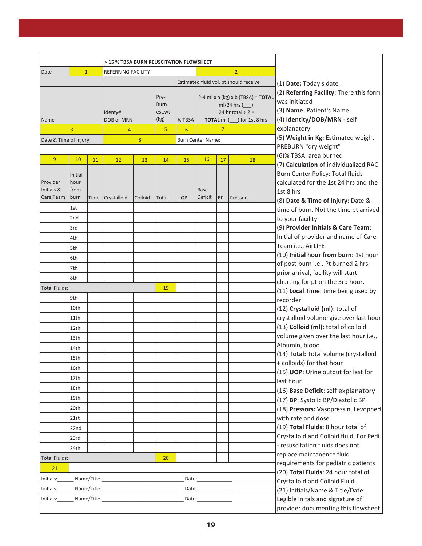| > 15 % TBSA BURN REUSCITATION FLOWSHEET           |                                              |             |                                            |             |                                                                                                                                   |            |                        |                                                                                                                                    |                        |                                                                                                                                                                      |  |
|---------------------------------------------------|----------------------------------------------|-------------|--------------------------------------------|-------------|-----------------------------------------------------------------------------------------------------------------------------------|------------|------------------------|------------------------------------------------------------------------------------------------------------------------------------|------------------------|----------------------------------------------------------------------------------------------------------------------------------------------------------------------|--|
| $\mathbf{1}$<br>Date<br><b>REFERRING FACILITY</b> |                                              |             | 2                                          |             |                                                                                                                                   |            |                        |                                                                                                                                    |                        |                                                                                                                                                                      |  |
|                                                   |                                              |             |                                            |             |                                                                                                                                   |            |                        | Estimated fluid vol. pt should receive                                                                                             | (1) Date: Today's date |                                                                                                                                                                      |  |
| Name                                              | Identy#<br>DOB or MRN<br>3<br>$\overline{4}$ |             | Pre-<br><b>Burn</b><br>est.wt<br>(kg)<br>5 | % TBSA<br>6 | 2-4 ml x a (kg) x b (TBSA) = TOTAL<br>$ml/24$ hrs $($<br>24 hr total $\div$ 2 =<br>TOTAL ml (___) for 1st 8 hrs<br>$\overline{7}$ |            |                        | (2) Referring Facility: There this form<br>was initiated<br>(3) Name: Patient's Name<br>(4) Identity/DOB/MRN - self<br>explanatory |                        |                                                                                                                                                                      |  |
| 8<br>Date & Time of Injury                        |                                              |             | <b>Burn Center Name:</b>                   |             |                                                                                                                                   |            |                        | (5) Weight in Kg: Estimated weight                                                                                                 |                        |                                                                                                                                                                      |  |
|                                                   |                                              |             |                                            |             |                                                                                                                                   |            |                        |                                                                                                                                    |                        | PREBURN "dry weight"                                                                                                                                                 |  |
| 9                                                 | 10                                           | 11          | 12                                         | 13          | 14                                                                                                                                | 15         | 16                     | 17                                                                                                                                 | 18                     | (6)% TBSA: area burned                                                                                                                                               |  |
| Provider<br>Initials &<br>Care Team               | Initial<br>hour<br>from<br>burn              | Time        | Crystalloid                                | Colloid     | Total                                                                                                                             | <b>UOP</b> | <b>Base</b><br>Deficit | <b>BP</b>                                                                                                                          | Pressors               | (7) Calculation of individualized RAC<br>Burn Center Policy: Total fluids<br>calculated for the 1st 24 hrs and the<br>1st 8 hrs<br>(8) Date & Time of Injury: Date & |  |
|                                                   | 1st                                          |             |                                            |             |                                                                                                                                   |            |                        |                                                                                                                                    |                        | time of burn. Not the time pt arrived                                                                                                                                |  |
|                                                   | 2nd                                          |             |                                            |             |                                                                                                                                   |            |                        |                                                                                                                                    |                        | to your facility                                                                                                                                                     |  |
|                                                   | 3rd                                          |             |                                            |             |                                                                                                                                   |            |                        |                                                                                                                                    |                        | (9) Provider Initials & Care Team:                                                                                                                                   |  |
|                                                   | 4th                                          |             |                                            |             |                                                                                                                                   |            |                        |                                                                                                                                    |                        | Initial of provider and name of Care                                                                                                                                 |  |
|                                                   | 5th                                          |             |                                            |             |                                                                                                                                   |            |                        |                                                                                                                                    |                        | Team i.e., AirLIFE                                                                                                                                                   |  |
|                                                   | 6th                                          |             |                                            |             |                                                                                                                                   |            |                        |                                                                                                                                    |                        | (10) Initial hour from burn: 1st hour                                                                                                                                |  |
|                                                   | 7th                                          |             |                                            |             |                                                                                                                                   |            |                        |                                                                                                                                    |                        | of post-burn i.e., Pt burned 2 hrs<br>prior arrival, facility will start                                                                                             |  |
|                                                   | 8th                                          |             |                                            |             |                                                                                                                                   |            |                        |                                                                                                                                    |                        | charting for pt on the 3rd hour.                                                                                                                                     |  |
| <b>Total Fluids:</b>                              |                                              |             |                                            |             | 19                                                                                                                                |            |                        |                                                                                                                                    |                        | (11) Local Time: time being used by                                                                                                                                  |  |
|                                                   | 9th                                          |             |                                            |             |                                                                                                                                   |            |                        |                                                                                                                                    |                        | recorder                                                                                                                                                             |  |
|                                                   | 10th                                         |             |                                            |             |                                                                                                                                   |            |                        |                                                                                                                                    |                        | (12) Crystalloid (ml): total of                                                                                                                                      |  |
|                                                   | 11th                                         |             |                                            |             |                                                                                                                                   |            |                        |                                                                                                                                    |                        | crystalloid volume give over last hour                                                                                                                               |  |
|                                                   | 12th                                         |             |                                            |             |                                                                                                                                   |            |                        |                                                                                                                                    |                        | (13) Colloid (ml): total of colloid                                                                                                                                  |  |
|                                                   | 13th                                         |             |                                            |             |                                                                                                                                   |            |                        |                                                                                                                                    |                        | volume given over the last hour i.e.,                                                                                                                                |  |
|                                                   | 14th                                         |             |                                            |             |                                                                                                                                   |            |                        |                                                                                                                                    |                        | Albumin, blood                                                                                                                                                       |  |
|                                                   | 15th                                         |             |                                            |             |                                                                                                                                   |            |                        |                                                                                                                                    |                        | (14) Total: Total volume (crystalloid<br>+ colloids) for that hour                                                                                                   |  |
|                                                   | 16th                                         |             |                                            |             |                                                                                                                                   |            |                        |                                                                                                                                    |                        | (15) UOP: Urine output for last for                                                                                                                                  |  |
|                                                   | 17th                                         |             |                                            |             |                                                                                                                                   |            |                        |                                                                                                                                    |                        | last hour                                                                                                                                                            |  |
|                                                   | 18th                                         |             |                                            |             |                                                                                                                                   |            |                        |                                                                                                                                    |                        | (16) Base Deficit: self explanatory                                                                                                                                  |  |
|                                                   | 19th                                         |             |                                            |             |                                                                                                                                   |            |                        |                                                                                                                                    |                        | (17) BP: Systolic BP/Diastolic BP                                                                                                                                    |  |
|                                                   | 20th                                         |             |                                            |             |                                                                                                                                   |            |                        |                                                                                                                                    |                        | (18) Pressors: Vasopressin, Levophed                                                                                                                                 |  |
|                                                   | 21st                                         |             |                                            |             |                                                                                                                                   |            |                        |                                                                                                                                    |                        | with rate and dose                                                                                                                                                   |  |
|                                                   | 22nd                                         |             |                                            |             |                                                                                                                                   |            |                        |                                                                                                                                    |                        | (19) Total Fluids: 8 hour total of                                                                                                                                   |  |
|                                                   | 23rd                                         |             |                                            |             |                                                                                                                                   |            |                        |                                                                                                                                    |                        | Crystalloid and Colloid fluid. For Pedi                                                                                                                              |  |
|                                                   | 24th                                         |             |                                            |             |                                                                                                                                   |            |                        |                                                                                                                                    |                        | - resuscitation fluids does not                                                                                                                                      |  |
| <b>Total Fluids:</b>                              |                                              |             |                                            |             | 20                                                                                                                                |            |                        |                                                                                                                                    |                        | replace maintanence fluid                                                                                                                                            |  |
| 21                                                |                                              |             |                                            |             |                                                                                                                                   |            |                        |                                                                                                                                    |                        | requirements for pediatric patients                                                                                                                                  |  |
| Initials:                                         |                                              | Name/Title: |                                            |             |                                                                                                                                   | Date:      |                        |                                                                                                                                    |                        | (20) Total Fluids: 24 hour total of<br>Crystalloid and Colloid Fluid                                                                                                 |  |
| Name/Title:<br>Initials:<br>Date:                 |                                              |             |                                            |             |                                                                                                                                   |            |                        | (21) Initials/Name & Title/Date:                                                                                                   |                        |                                                                                                                                                                      |  |
| Name/Title:<br>Initials:                          |                                              |             |                                            |             |                                                                                                                                   | Date:      |                        |                                                                                                                                    |                        | Legible initals and signature of<br>provider documenting this flowsheet                                                                                              |  |